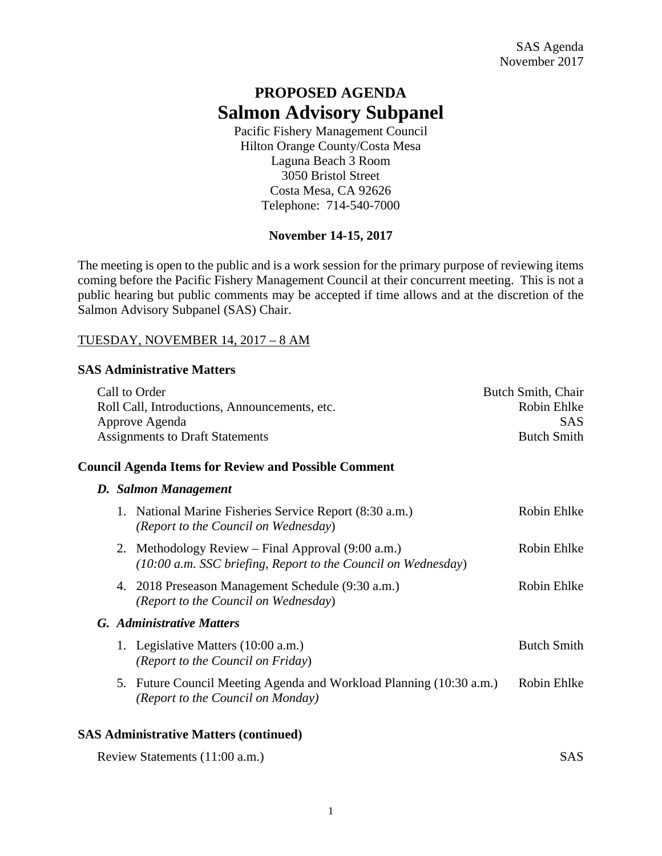# **PROPOSED AGENDA Salmon Advisory Subpanel**

Pacific Fishery Management Council Hilton Orange County/Costa Mesa Laguna Beach 3 Room 3050 Bristol Street Costa Mesa, CA 92626 Telephone: 714-540-7000

# **November 14-15, 2017**

The meeting is open to the public and is a work session for the primary purpose of reviewing items coming before the Pacific Fishery Management Council at their concurrent meeting. This is not a public hearing but public comments may be accepted if time allows and at the discretion of the Salmon Advisory Subpanel (SAS) Chair.

## TUESDAY, NOVEMBER 14, 2017 – 8 AM

## **SAS Administrative Matters**

| Call to Order                                 |                                                                                                                  | Butch Smith, Chair |
|-----------------------------------------------|------------------------------------------------------------------------------------------------------------------|--------------------|
| Roll Call, Introductions, Announcements, etc. |                                                                                                                  | Robin Ehlke        |
|                                               | Approve Agenda                                                                                                   | <b>SAS</b>         |
| <b>Assignments to Draft Statements</b>        |                                                                                                                  | <b>Butch Smith</b> |
|                                               | <b>Council Agenda Items for Review and Possible Comment</b>                                                      |                    |
|                                               | D. Salmon Management                                                                                             |                    |
| 1.                                            | National Marine Fisheries Service Report (8:30 a.m.)<br>(Report to the Council on Wednesday)                     | Robin Ehlke        |
| 2.                                            | Methodology Review – Final Approval (9:00 a.m.)<br>(10:00 a.m. SSC briefing, Report to the Council on Wednesday) | Robin Ehlke        |
| 4.                                            | 2018 Preseason Management Schedule (9:30 a.m.)<br>(Report to the Council on Wednesday)                           | Robin Ehlke        |
|                                               | G. Administrative Matters                                                                                        |                    |
|                                               | 1. Legislative Matters (10:00 a.m.)<br>(Report to the Council on Friday)                                         | <b>Butch Smith</b> |
| 5.                                            | Future Council Meeting Agenda and Workload Planning (10:30 a.m.)<br>(Report to the Council on Monday)            | Robin Ehlke        |
|                                               | $SAR$ Administrative Matters (continued)                                                                         |                    |

## **SAS Administrative Matters (continued)**

|  | Review Statements (11:00 a.m.) | SAS. |
|--|--------------------------------|------|
|--|--------------------------------|------|